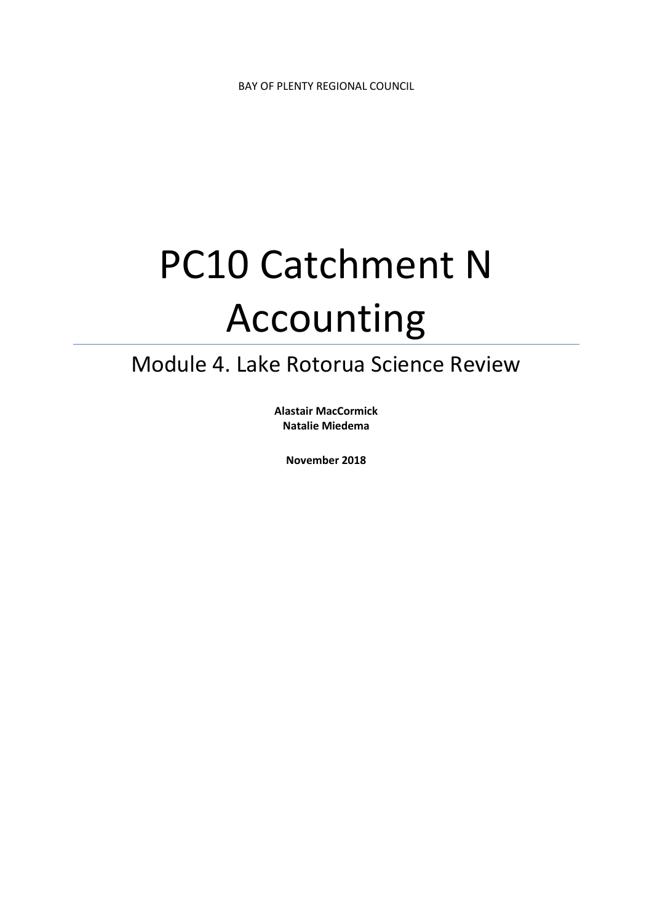# PC10 Catchment N Accounting

# Module 4. Lake Rotorua Science Review

**Alastair MacCormick Natalie Miedema** 

**November 2018**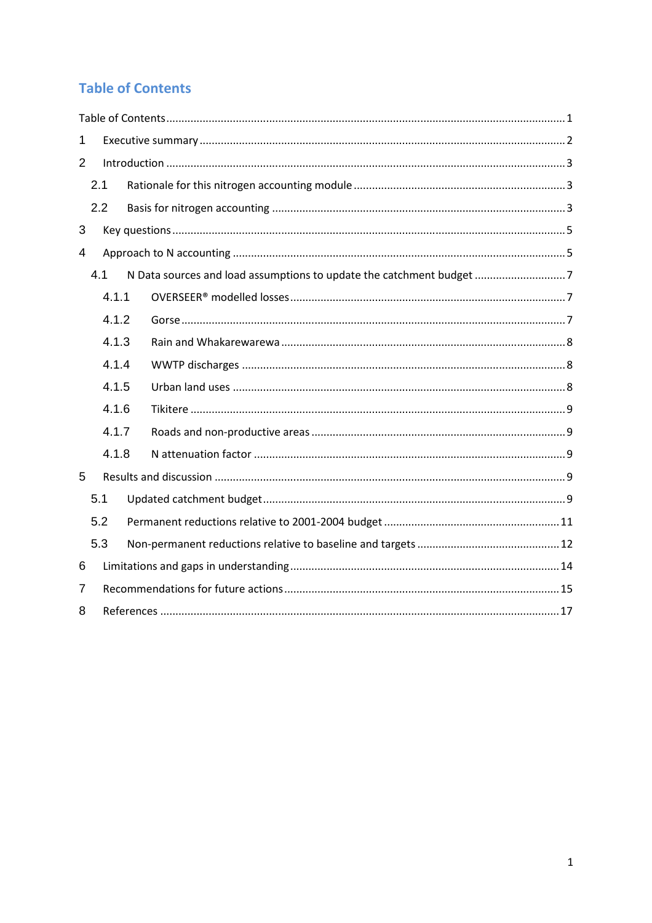# **Table of Contents**

| 1              |       |  |                                                                      |  |  |  |  |  |
|----------------|-------|--|----------------------------------------------------------------------|--|--|--|--|--|
| $\overline{2}$ |       |  |                                                                      |  |  |  |  |  |
|                | 2.1   |  |                                                                      |  |  |  |  |  |
|                | 2.2   |  |                                                                      |  |  |  |  |  |
| 3              |       |  |                                                                      |  |  |  |  |  |
| $\overline{4}$ |       |  |                                                                      |  |  |  |  |  |
|                | 4.1   |  | N Data sources and load assumptions to update the catchment budget 7 |  |  |  |  |  |
|                | 4.1.1 |  |                                                                      |  |  |  |  |  |
| 4.1.2          |       |  |                                                                      |  |  |  |  |  |
|                | 4.1.3 |  |                                                                      |  |  |  |  |  |
|                | 4.1.4 |  |                                                                      |  |  |  |  |  |
|                | 4.1.5 |  |                                                                      |  |  |  |  |  |
| 4.1.6          |       |  |                                                                      |  |  |  |  |  |
|                | 4.1.7 |  |                                                                      |  |  |  |  |  |
|                | 4.1.8 |  |                                                                      |  |  |  |  |  |
| 5              |       |  |                                                                      |  |  |  |  |  |
|                | 5.1   |  |                                                                      |  |  |  |  |  |
|                | 5.2   |  |                                                                      |  |  |  |  |  |
|                | 5.3   |  |                                                                      |  |  |  |  |  |
| 6              |       |  |                                                                      |  |  |  |  |  |
| 7              |       |  |                                                                      |  |  |  |  |  |
| 8              |       |  |                                                                      |  |  |  |  |  |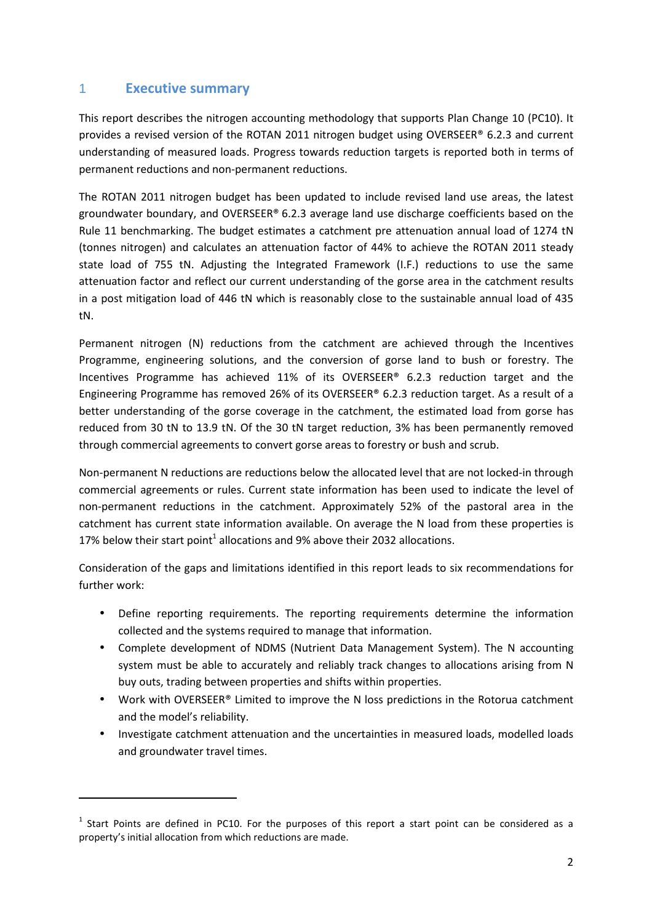### 1 **Executive summary**

l

This report describes the nitrogen accounting methodology that supports Plan Change 10 (PC10). It provides a revised version of the ROTAN 2011 nitrogen budget using OVERSEER® 6.2.3 and current understanding of measured loads. Progress towards reduction targets is reported both in terms of permanent reductions and non-permanent reductions.

The ROTAN 2011 nitrogen budget has been updated to include revised land use areas, the latest groundwater boundary, and OVERSEER® 6.2.3 average land use discharge coefficients based on the Rule 11 benchmarking. The budget estimates a catchment pre attenuation annual load of 1274 tN (tonnes nitrogen) and calculates an attenuation factor of 44% to achieve the ROTAN 2011 steady state load of 755 tN. Adjusting the Integrated Framework (I.F.) reductions to use the same attenuation factor and reflect our current understanding of the gorse area in the catchment results in a post mitigation load of 446 tN which is reasonably close to the sustainable annual load of 435 tN.

Permanent nitrogen (N) reductions from the catchment are achieved through the Incentives Programme, engineering solutions, and the conversion of gorse land to bush or forestry. The Incentives Programme has achieved 11% of its OVERSEER® 6.2.3 reduction target and the Engineering Programme has removed 26% of its OVERSEER® 6.2.3 reduction target. As a result of a better understanding of the gorse coverage in the catchment, the estimated load from gorse has reduced from 30 tN to 13.9 tN. Of the 30 tN target reduction, 3% has been permanently removed through commercial agreements to convert gorse areas to forestry or bush and scrub.

Non-permanent N reductions are reductions below the allocated level that are not locked-in through commercial agreements or rules. Current state information has been used to indicate the level of non-permanent reductions in the catchment. Approximately 52% of the pastoral area in the catchment has current state information available. On average the N load from these properties is 17% below their start point<sup>1</sup> allocations and 9% above their 2032 allocations.

Consideration of the gaps and limitations identified in this report leads to six recommendations for further work:

- Define reporting requirements. The reporting requirements determine the information collected and the systems required to manage that information.
- Complete development of NDMS (Nutrient Data Management System). The N accounting system must be able to accurately and reliably track changes to allocations arising from N buy outs, trading between properties and shifts within properties.
- Work with OVERSEER® Limited to improve the N loss predictions in the Rotorua catchment and the model's reliability.
- Investigate catchment attenuation and the uncertainties in measured loads, modelled loads and groundwater travel times.

 $<sup>1</sup>$  Start Points are defined in PC10. For the purposes of this report a start point can be considered as a</sup> property's initial allocation from which reductions are made.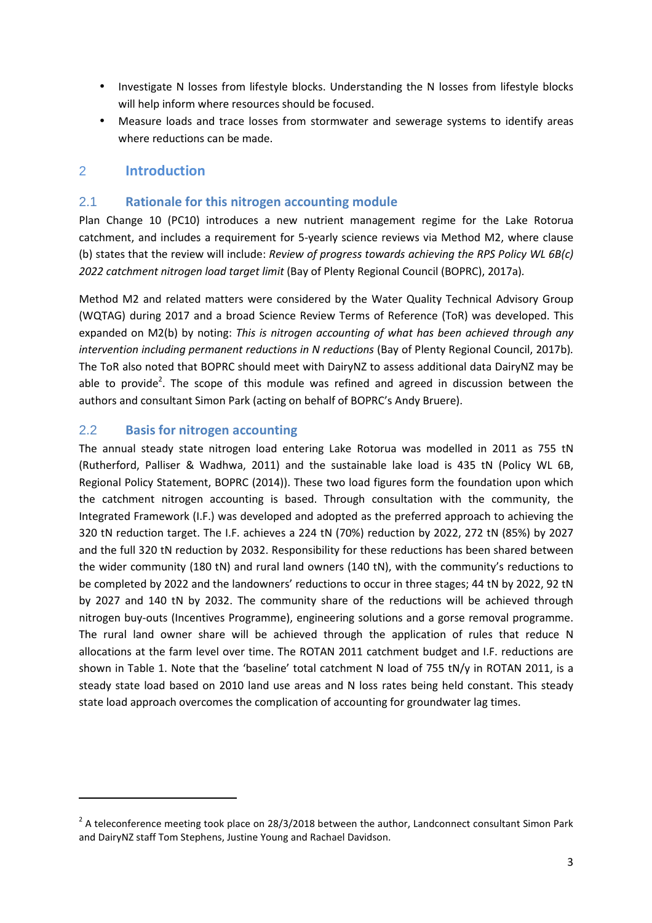- Investigate N losses from lifestyle blocks. Understanding the N losses from lifestyle blocks will help inform where resources should be focused.
- Measure loads and trace losses from stormwater and sewerage systems to identify areas where reductions can be made.

#### 2 **Introduction**

#### 2.1 **Rationale for this nitrogen accounting module**

Plan Change 10 (PC10) introduces a new nutrient management regime for the Lake Rotorua catchment, and includes a requirement for 5-yearly science reviews via Method M2, where clause (b) states that the review will include: *Review of progress towards achieving the RPS Policy WL 6B(c) 2022 catchment nitrogen load target limit* (Bay of Plenty Regional Council (BOPRC), 2017a)*.* 

Method M2 and related matters were considered by the Water Quality Technical Advisory Group (WQTAG) during 2017 and a broad Science Review Terms of Reference (ToR) was developed. This expanded on M2(b) by noting: *This is nitrogen accounting of what has been achieved through any intervention including permanent reductions in N reductions* (Bay of Plenty Regional Council, 2017b). The ToR also noted that BOPRC should meet with DairyNZ to assess additional data DairyNZ may be able to provide<sup>2</sup>. The scope of this module was refined and agreed in discussion between the authors and consultant Simon Park (acting on behalf of BOPRC's Andy Bruere).

#### 2.2 **Basis for nitrogen accounting**

l

The annual steady state nitrogen load entering Lake Rotorua was modelled in 2011 as 755 tN (Rutherford, Palliser & Wadhwa, 2011) and the sustainable lake load is 435 tN (Policy WL 6B, Regional Policy Statement, BOPRC (2014)). These two load figures form the foundation upon which the catchment nitrogen accounting is based. Through consultation with the community, the Integrated Framework (I.F.) was developed and adopted as the preferred approach to achieving the 320 tN reduction target. The I.F. achieves a 224 tN (70%) reduction by 2022, 272 tN (85%) by 2027 and the full 320 tN reduction by 2032. Responsibility for these reductions has been shared between the wider community (180 tN) and rural land owners (140 tN), with the community's reductions to be completed by 2022 and the landowners' reductions to occur in three stages; 44 tN by 2022, 92 tN by 2027 and 140 tN by 2032. The community share of the reductions will be achieved through nitrogen buy-outs (Incentives Programme), engineering solutions and a gorse removal programme. The rural land owner share will be achieved through the application of rules that reduce N allocations at the farm level over time. The ROTAN 2011 catchment budget and I.F. reductions are shown in Table 1. Note that the 'baseline' total catchment N load of 755 tN/y in ROTAN 2011, is a steady state load based on 2010 land use areas and N loss rates being held constant. This steady state load approach overcomes the complication of accounting for groundwater lag times.

 $^2$  A teleconference meeting took place on 28/3/2018 between the author, Landconnect consultant Simon Park and DairyNZ staff Tom Stephens, Justine Young and Rachael Davidson.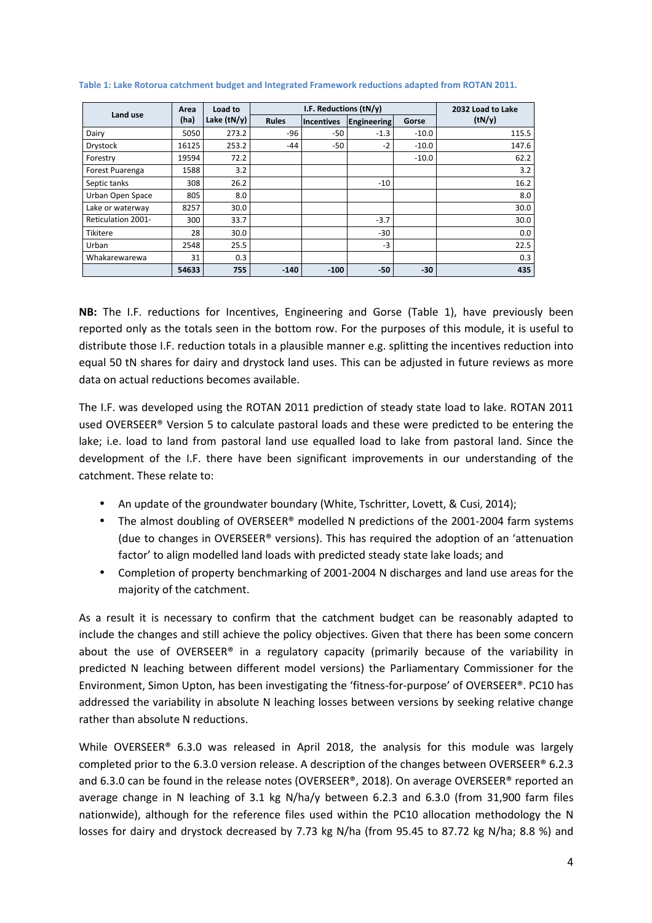| Land use           | Area  | Load to       |              | I.F. Reductions (tN/y)    |        |         | 2032 Load to Lake |
|--------------------|-------|---------------|--------------|---------------------------|--------|---------|-------------------|
|                    | (ha)  | Lake $(tN/y)$ | <b>Rules</b> | Engineering<br>Incentives |        | Gorse   | (tN/y)            |
| Dairy              | 5050  | 273.2         | -96          | -50                       | $-1.3$ | $-10.0$ | 115.5             |
| Drystock           | 16125 | 253.2         | $-44$        | $-50$                     | $-2$   | $-10.0$ | 147.6             |
| Forestry           | 19594 | 72.2          |              |                           |        | $-10.0$ | 62.2              |
| Forest Puarenga    | 1588  | 3.2           |              |                           |        |         | 3.2               |
| Septic tanks       | 308   | 26.2          |              |                           | $-10$  |         | 16.2              |
| Urban Open Space   | 805   | 8.0           |              |                           |        |         | 8.0               |
| Lake or waterway   | 8257  | 30.0          |              |                           |        |         | 30.0              |
| Reticulation 2001- | 300   | 33.7          |              |                           | $-3.7$ |         | 30.0              |
| Tikitere           | 28    | 30.0          |              |                           | $-30$  |         | 0.0               |
| Urban              | 2548  | 25.5          |              |                           | $-3$   |         | 22.5              |
| Whakarewarewa      | 31    | 0.3           |              |                           |        |         | 0.3               |
|                    | 54633 | 755           | $-140$       | $-100$                    | $-50$  | $-30$   | 435               |

#### **Table 1: Lake Rotorua catchment budget and Integrated Framework reductions adapted from ROTAN 2011.**

**NB:** The I.F. reductions for Incentives, Engineering and Gorse (Table 1), have previously been reported only as the totals seen in the bottom row. For the purposes of this module, it is useful to distribute those I.F. reduction totals in a plausible manner e.g. splitting the incentives reduction into equal 50 tN shares for dairy and drystock land uses. This can be adjusted in future reviews as more data on actual reductions becomes available.

The I.F. was developed using the ROTAN 2011 prediction of steady state load to lake. ROTAN 2011 used OVERSEER® Version 5 to calculate pastoral loads and these were predicted to be entering the lake; i.e. load to land from pastoral land use equalled load to lake from pastoral land. Since the development of the I.F. there have been significant improvements in our understanding of the catchment. These relate to:

- An update of the groundwater boundary (White, Tschritter, Lovett, & Cusi, 2014);
- The almost doubling of OVERSEER® modelled N predictions of the 2001-2004 farm systems (due to changes in OVERSEER® versions). This has required the adoption of an 'attenuation factor' to align modelled land loads with predicted steady state lake loads; and
- Completion of property benchmarking of 2001-2004 N discharges and land use areas for the majority of the catchment.

As a result it is necessary to confirm that the catchment budget can be reasonably adapted to include the changes and still achieve the policy objectives. Given that there has been some concern about the use of OVERSEER<sup>®</sup> in a regulatory capacity (primarily because of the variability in predicted N leaching between different model versions) the Parliamentary Commissioner for the Environment, Simon Upton, has been investigating the 'fitness-for-purpose' of OVERSEER®. PC10 has addressed the variability in absolute N leaching losses between versions by seeking relative change rather than absolute N reductions.

While OVERSEER® 6.3.0 was released in April 2018, the analysis for this module was largely completed prior to the 6.3.0 version release. A description of the changes between OVERSEER® 6.2.3 and 6.3.0 can be found in the release notes (OVERSEER®, 2018). On average OVERSEER® reported an average change in N leaching of 3.1 kg N/ha/y between 6.2.3 and 6.3.0 (from 31,900 farm files nationwide), although for the reference files used within the PC10 allocation methodology the N losses for dairy and drystock decreased by 7.73 kg N/ha (from 95.45 to 87.72 kg N/ha; 8.8 %) and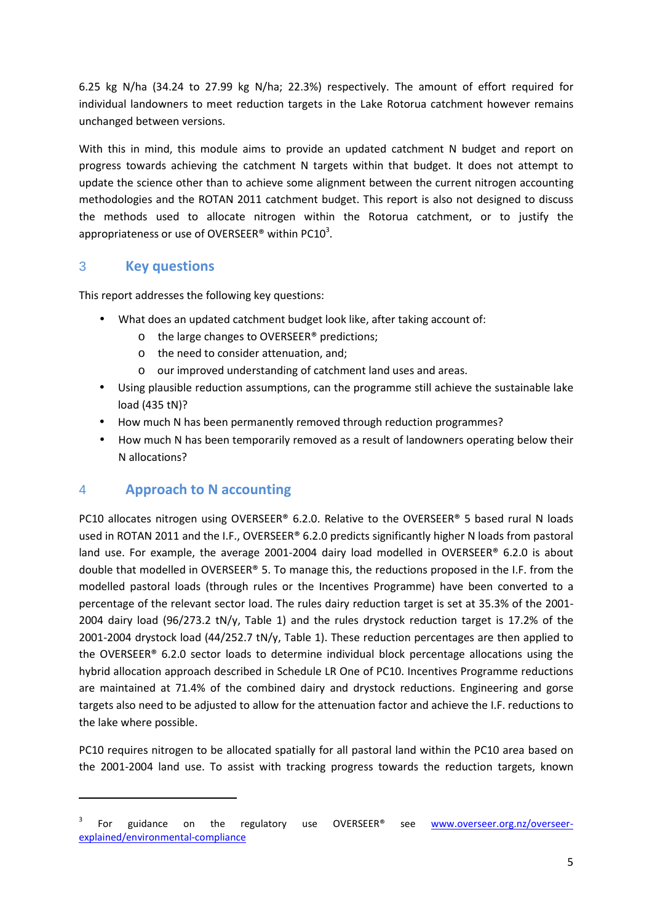6.25 kg N/ha (34.24 to 27.99 kg N/ha; 22.3%) respectively. The amount of effort required for individual landowners to meet reduction targets in the Lake Rotorua catchment however remains unchanged between versions.

With this in mind, this module aims to provide an updated catchment N budget and report on progress towards achieving the catchment N targets within that budget. It does not attempt to update the science other than to achieve some alignment between the current nitrogen accounting methodologies and the ROTAN 2011 catchment budget. This report is also not designed to discuss the methods used to allocate nitrogen within the Rotorua catchment, or to justify the appropriateness or use of OVERSEER® within PC10<sup>3</sup>.

# 3 **Key questions**

This report addresses the following key questions:

- What does an updated catchment budget look like, after taking account of:
	- o the large changes to OVERSEER® predictions;
	- o the need to consider attenuation, and;
	- o our improved understanding of catchment land uses and areas.
- Using plausible reduction assumptions, can the programme still achieve the sustainable lake load (435 tN)?
- How much N has been permanently removed through reduction programmes?
- How much N has been temporarily removed as a result of landowners operating below their N allocations?

# 4 **Approach to N accounting**

l

PC10 allocates nitrogen using OVERSEER® 6.2.0. Relative to the OVERSEER® 5 based rural N loads used in ROTAN 2011 and the I.F., OVERSEER® 6.2.0 predicts significantly higher N loads from pastoral land use. For example, the average 2001-2004 dairy load modelled in OVERSEER® 6.2.0 is about double that modelled in OVERSEER® 5. To manage this, the reductions proposed in the I.F. from the modelled pastoral loads (through rules or the Incentives Programme) have been converted to a percentage of the relevant sector load. The rules dairy reduction target is set at 35.3% of the 2001- 2004 dairy load (96/273.2 tN/y, Table 1) and the rules drystock reduction target is 17.2% of the 2001-2004 drystock load (44/252.7 tN/y, Table 1). These reduction percentages are then applied to the OVERSEER® 6.2.0 sector loads to determine individual block percentage allocations using the hybrid allocation approach described in Schedule LR One of PC10. Incentives Programme reductions are maintained at 71.4% of the combined dairy and drystock reductions. Engineering and gorse targets also need to be adjusted to allow for the attenuation factor and achieve the I.F. reductions to the lake where possible.

PC10 requires nitrogen to be allocated spatially for all pastoral land within the PC10 area based on the 2001-2004 land use. To assist with tracking progress towards the reduction targets, known

<sup>3</sup> For guidance on the regulatory use OVERSEER® see www.overseer.org.nz/overseerexplained/environmental-compliance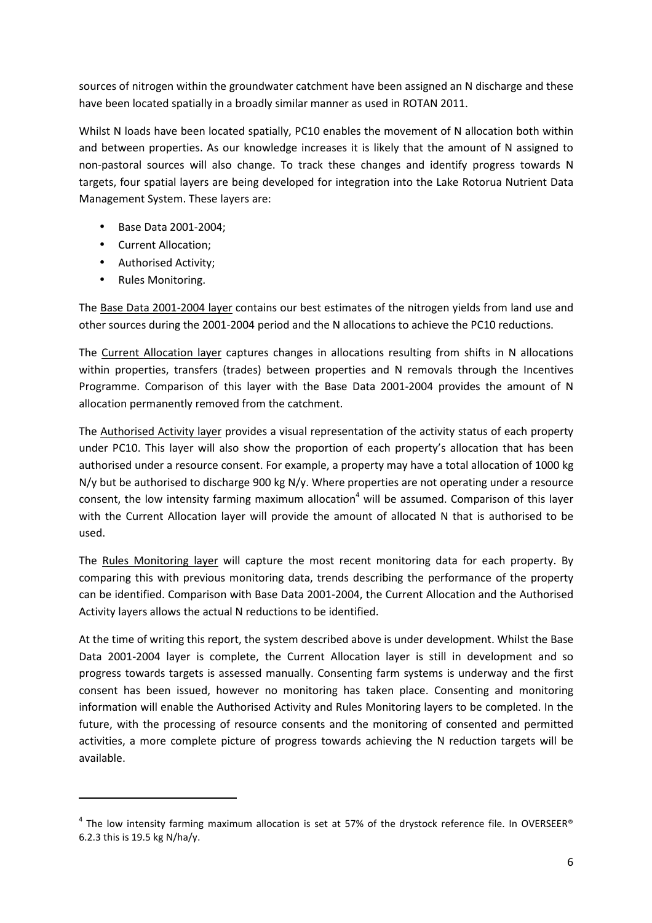sources of nitrogen within the groundwater catchment have been assigned an N discharge and these have been located spatially in a broadly similar manner as used in ROTAN 2011.

Whilst N loads have been located spatially, PC10 enables the movement of N allocation both within and between properties. As our knowledge increases it is likely that the amount of N assigned to non-pastoral sources will also change. To track these changes and identify progress towards N targets, four spatial layers are being developed for integration into the Lake Rotorua Nutrient Data Management System. These layers are:

- Base Data 2001-2004;
- Current Allocation;
- Authorised Activity;
- Rules Monitoring.

l

The Base Data 2001-2004 layer contains our best estimates of the nitrogen yields from land use and other sources during the 2001-2004 period and the N allocations to achieve the PC10 reductions.

The Current Allocation layer captures changes in allocations resulting from shifts in N allocations within properties, transfers (trades) between properties and N removals through the Incentives Programme. Comparison of this layer with the Base Data 2001-2004 provides the amount of N allocation permanently removed from the catchment.

The Authorised Activity layer provides a visual representation of the activity status of each property under PC10. This layer will also show the proportion of each property's allocation that has been authorised under a resource consent. For example, a property may have a total allocation of 1000 kg N/y but be authorised to discharge 900 kg N/y. Where properties are not operating under a resource consent, the low intensity farming maximum allocation<sup>4</sup> will be assumed. Comparison of this layer with the Current Allocation layer will provide the amount of allocated N that is authorised to be used.

The Rules Monitoring layer will capture the most recent monitoring data for each property. By comparing this with previous monitoring data, trends describing the performance of the property can be identified. Comparison with Base Data 2001-2004, the Current Allocation and the Authorised Activity layers allows the actual N reductions to be identified.

At the time of writing this report, the system described above is under development. Whilst the Base Data 2001-2004 layer is complete, the Current Allocation layer is still in development and so progress towards targets is assessed manually. Consenting farm systems is underway and the first consent has been issued, however no monitoring has taken place. Consenting and monitoring information will enable the Authorised Activity and Rules Monitoring layers to be completed. In the future, with the processing of resource consents and the monitoring of consented and permitted activities, a more complete picture of progress towards achieving the N reduction targets will be available.

 $^4$  The low intensity farming maximum allocation is set at 57% of the drystock reference file. In OVERSEER® 6.2.3 this is 19.5 kg N/ha/y.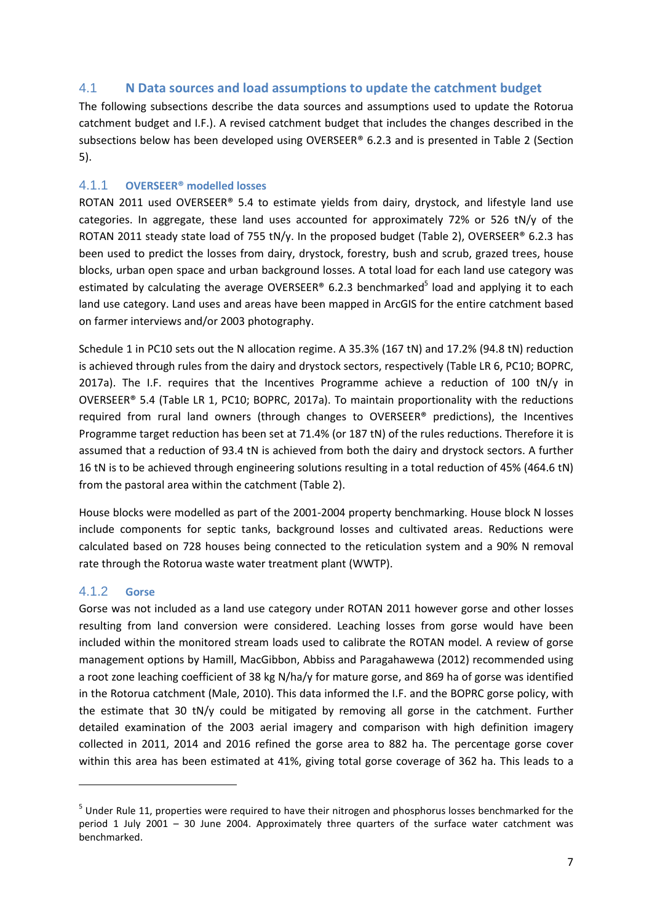#### 4.1 **N Data sources and load assumptions to update the catchment budget**

The following subsections describe the data sources and assumptions used to update the Rotorua catchment budget and I.F.). A revised catchment budget that includes the changes described in the subsections below has been developed using OVERSEER® 6.2.3 and is presented in Table 2 (Section 5).

#### 4.1.1 **OVERSEER® modelled losses**

ROTAN 2011 used OVERSEER® 5.4 to estimate yields from dairy, drystock, and lifestyle land use categories. In aggregate, these land uses accounted for approximately 72% or 526 tN/y of the ROTAN 2011 steady state load of 755 tN/y. In the proposed budget (Table 2), OVERSEER® 6.2.3 has been used to predict the losses from dairy, drystock, forestry, bush and scrub, grazed trees, house blocks, urban open space and urban background losses. A total load for each land use category was estimated by calculating the average OVERSEER® 6.2.3 benchmarked<sup>5</sup> load and applying it to each land use category. Land uses and areas have been mapped in ArcGIS for the entire catchment based on farmer interviews and/or 2003 photography.

Schedule 1 in PC10 sets out the N allocation regime. A 35.3% (167 tN) and 17.2% (94.8 tN) reduction is achieved through rules from the dairy and drystock sectors, respectively (Table LR 6, PC10; BOPRC, 2017a). The I.F. requires that the Incentives Programme achieve a reduction of 100 tN/y in OVERSEER® 5.4 (Table LR 1, PC10; BOPRC, 2017a). To maintain proportionality with the reductions required from rural land owners (through changes to OVERSEER® predictions), the Incentives Programme target reduction has been set at 71.4% (or 187 tN) of the rules reductions. Therefore it is assumed that a reduction of 93.4 tN is achieved from both the dairy and drystock sectors. A further 16 tN is to be achieved through engineering solutions resulting in a total reduction of 45% (464.6 tN) from the pastoral area within the catchment (Table 2).

House blocks were modelled as part of the 2001-2004 property benchmarking. House block N losses include components for septic tanks, background losses and cultivated areas. Reductions were calculated based on 728 houses being connected to the reticulation system and a 90% N removal rate through the Rotorua waste water treatment plant (WWTP).

#### 4.1.2 **Gorse**

 $\overline{\phantom{0}}$ 

Gorse was not included as a land use category under ROTAN 2011 however gorse and other losses resulting from land conversion were considered. Leaching losses from gorse would have been included within the monitored stream loads used to calibrate the ROTAN model. A review of gorse management options by Hamill, MacGibbon, Abbiss and Paragahawewa (2012) recommended using a root zone leaching coefficient of 38 kg N/ha/y for mature gorse, and 869 ha of gorse was identified in the Rotorua catchment (Male, 2010). This data informed the I.F. and the BOPRC gorse policy, with the estimate that 30 tN/y could be mitigated by removing all gorse in the catchment. Further detailed examination of the 2003 aerial imagery and comparison with high definition imagery collected in 2011, 2014 and 2016 refined the gorse area to 882 ha. The percentage gorse cover within this area has been estimated at 41%, giving total gorse coverage of 362 ha. This leads to a

<sup>&</sup>lt;sup>5</sup> Under Rule 11, properties were required to have their nitrogen and phosphorus losses benchmarked for the period 1 July 2001 – 30 June 2004. Approximately three quarters of the surface water catchment was benchmarked.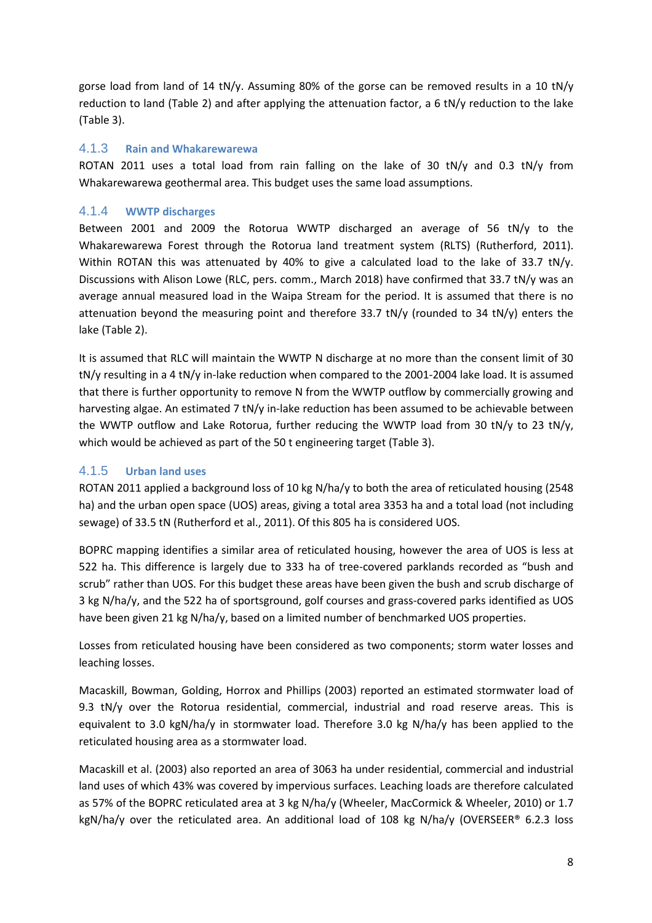gorse load from land of 14 tN/y. Assuming 80% of the gorse can be removed results in a 10 tN/y reduction to land (Table 2) and after applying the attenuation factor, a 6 tN/y reduction to the lake (Table 3).

#### 4.1.3 **Rain and Whakarewarewa**

ROTAN 2011 uses a total load from rain falling on the lake of 30 tN/y and 0.3 tN/y from Whakarewarewa geothermal area. This budget uses the same load assumptions.

#### 4.1.4 **WWTP discharges**

Between 2001 and 2009 the Rotorua WWTP discharged an average of 56 tN/y to the Whakarewarewa Forest through the Rotorua land treatment system (RLTS) (Rutherford, 2011). Within ROTAN this was attenuated by 40% to give a calculated load to the lake of 33.7 tN/y. Discussions with Alison Lowe (RLC, pers. comm., March 2018) have confirmed that 33.7 tN/y was an average annual measured load in the Waipa Stream for the period. It is assumed that there is no attenuation beyond the measuring point and therefore 33.7 tN/y (rounded to 34 tN/y) enters the lake (Table 2).

It is assumed that RLC will maintain the WWTP N discharge at no more than the consent limit of 30 tN/y resulting in a 4 tN/y in-lake reduction when compared to the 2001-2004 lake load. It is assumed that there is further opportunity to remove N from the WWTP outflow by commercially growing and harvesting algae. An estimated 7 tN/y in-lake reduction has been assumed to be achievable between the WWTP outflow and Lake Rotorua, further reducing the WWTP load from 30 tN/y to 23 tN/y, which would be achieved as part of the 50 t engineering target (Table 3).

#### 4.1.5 **Urban land uses**

ROTAN 2011 applied a background loss of 10 kg N/ha/y to both the area of reticulated housing (2548 ha) and the urban open space (UOS) areas, giving a total area 3353 ha and a total load (not including sewage) of 33.5 tN (Rutherford et al., 2011). Of this 805 ha is considered UOS.

BOPRC mapping identifies a similar area of reticulated housing, however the area of UOS is less at 522 ha. This difference is largely due to 333 ha of tree-covered parklands recorded as "bush and scrub" rather than UOS. For this budget these areas have been given the bush and scrub discharge of 3 kg N/ha/y, and the 522 ha of sportsground, golf courses and grass-covered parks identified as UOS have been given 21 kg N/ha/y, based on a limited number of benchmarked UOS properties.

Losses from reticulated housing have been considered as two components; storm water losses and leaching losses.

Macaskill, Bowman, Golding, Horrox and Phillips (2003) reported an estimated stormwater load of 9.3 tN/y over the Rotorua residential, commercial, industrial and road reserve areas. This is equivalent to 3.0 kgN/ha/y in stormwater load. Therefore 3.0 kg N/ha/y has been applied to the reticulated housing area as a stormwater load.

Macaskill et al. (2003) also reported an area of 3063 ha under residential, commercial and industrial land uses of which 43% was covered by impervious surfaces. Leaching loads are therefore calculated as 57% of the BOPRC reticulated area at 3 kg N/ha/y (Wheeler, MacCormick & Wheeler, 2010) or 1.7 kgN/ha/y over the reticulated area. An additional load of 108 kg N/ha/y (OVERSEER® 6.2.3 loss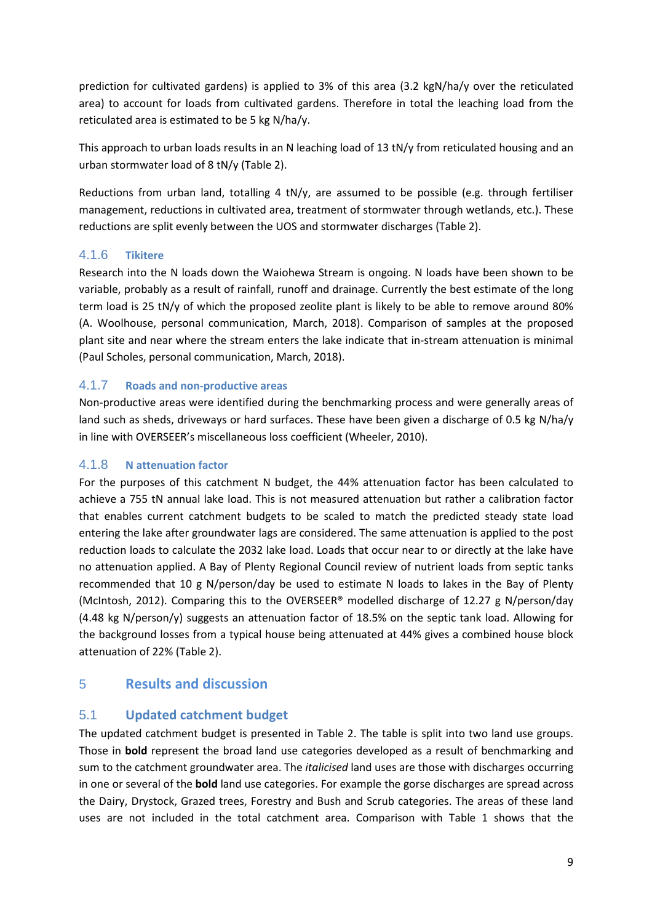prediction for cultivated gardens) is applied to 3% of this area (3.2 kgN/ha/y over the reticulated area) to account for loads from cultivated gardens. Therefore in total the leaching load from the reticulated area is estimated to be 5 kg N/ha/y.

This approach to urban loads results in an N leaching load of 13 tN/y from reticulated housing and an urban stormwater load of 8 tN/y (Table 2).

Reductions from urban land, totalling 4 tN/y, are assumed to be possible (e.g. through fertiliser management, reductions in cultivated area, treatment of stormwater through wetlands, etc.). These reductions are split evenly between the UOS and stormwater discharges (Table 2).

#### 4.1.6 **Tikitere**

Research into the N loads down the Waiohewa Stream is ongoing. N loads have been shown to be variable, probably as a result of rainfall, runoff and drainage. Currently the best estimate of the long term load is 25 tN/y of which the proposed zeolite plant is likely to be able to remove around 80% (A. Woolhouse, personal communication, March, 2018). Comparison of samples at the proposed plant site and near where the stream enters the lake indicate that in-stream attenuation is minimal (Paul Scholes, personal communication, March, 2018).

#### 4.1.7 **Roads and non-productive areas**

Non-productive areas were identified during the benchmarking process and were generally areas of land such as sheds, driveways or hard surfaces. These have been given a discharge of 0.5 kg N/ha/y in line with OVERSEER's miscellaneous loss coefficient (Wheeler, 2010).

#### 4.1.8 **N attenuation factor**

For the purposes of this catchment N budget, the 44% attenuation factor has been calculated to achieve a 755 tN annual lake load. This is not measured attenuation but rather a calibration factor that enables current catchment budgets to be scaled to match the predicted steady state load entering the lake after groundwater lags are considered. The same attenuation is applied to the post reduction loads to calculate the 2032 lake load. Loads that occur near to or directly at the lake have no attenuation applied. A Bay of Plenty Regional Council review of nutrient loads from septic tanks recommended that 10 g N/person/day be used to estimate N loads to lakes in the Bay of Plenty (McIntosh, 2012). Comparing this to the OVERSEER® modelled discharge of 12.27 g N/person/day (4.48 kg N/person/y) suggests an attenuation factor of 18.5% on the septic tank load. Allowing for the background losses from a typical house being attenuated at 44% gives a combined house block attenuation of 22% (Table 2).

# 5 **Results and discussion**

#### 5.1 **Updated catchment budget**

The updated catchment budget is presented in Table 2. The table is split into two land use groups. Those in **bold** represent the broad land use categories developed as a result of benchmarking and sum to the catchment groundwater area. The *italicised* land uses are those with discharges occurring in one or several of the **bold** land use categories. For example the gorse discharges are spread across the Dairy, Drystock, Grazed trees, Forestry and Bush and Scrub categories. The areas of these land uses are not included in the total catchment area. Comparison with Table 1 shows that the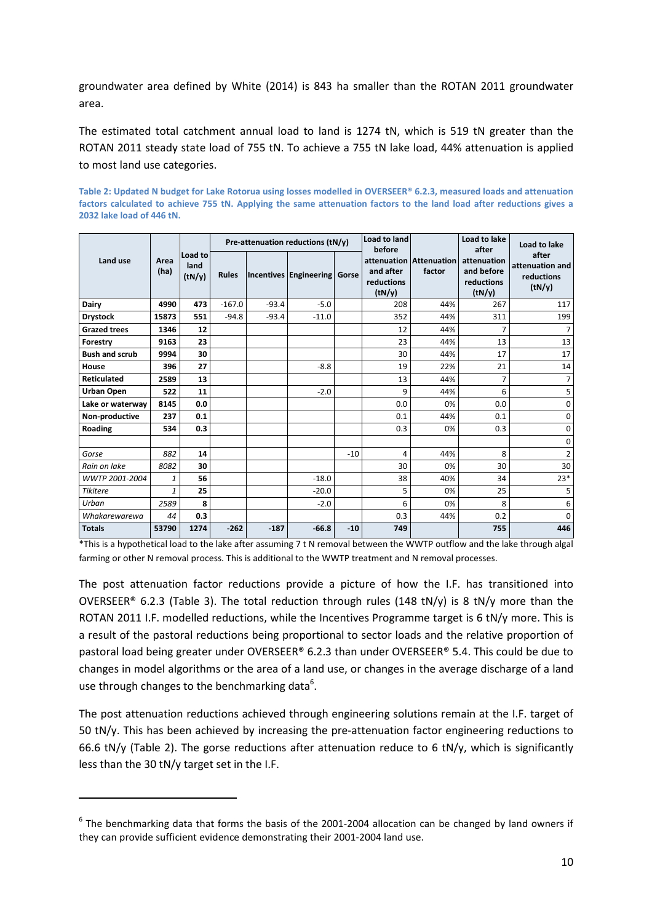groundwater area defined by White (2014) is 843 ha smaller than the ROTAN 2011 groundwater area.

The estimated total catchment annual load to land is 1274 tN, which is 519 tN greater than the ROTAN 2011 steady state load of 755 tN. To achieve a 755 tN lake load, 44% attenuation is applied to most land use categories.

|                       |              | Load to<br>land<br>(tN/y) | Pre-attenuation reductions (tN/y) |         |                              |       | Load to land<br>before            |                                   | Load to lake<br>after                             | Load to lake                                     |
|-----------------------|--------------|---------------------------|-----------------------------------|---------|------------------------------|-------|-----------------------------------|-----------------------------------|---------------------------------------------------|--------------------------------------------------|
| Land use              | Area<br>(ha) |                           | <b>Rules</b>                      |         | Incentives Engineering Gorse |       | and after<br>reductions<br>(tN/y) | attenuation Attenuation<br>factor | attenuation<br>and before<br>reductions<br>(tN/y) | after<br>attenuation and<br>reductions<br>(tN/y) |
| Dairy                 | 4990         | 473                       | $-167.0$                          | $-93.4$ | $-5.0$                       |       | 208                               | 44%                               | 267                                               | 117                                              |
| <b>Drystock</b>       | 15873        | 551                       | $-94.8$                           | $-93.4$ | $-11.0$                      |       | 352                               | 44%                               | 311                                               | 199                                              |
| <b>Grazed trees</b>   | 1346         | 12                        |                                   |         |                              |       | 12                                | 44%                               | 7                                                 | 7                                                |
| Forestry              | 9163         | 23                        |                                   |         |                              |       | 23                                | 44%                               | 13                                                | 13                                               |
| <b>Bush and scrub</b> | 9994         | 30                        |                                   |         |                              |       | 30                                | 44%                               | 17                                                | 17                                               |
| House                 | 396          | 27                        |                                   |         | $-8.8$                       |       | 19                                | 22%                               | 21                                                | 14                                               |
| <b>Reticulated</b>    | 2589         | 13                        |                                   |         |                              |       | 13                                | 44%                               | 7                                                 | $\overline{7}$                                   |
| <b>Urban Open</b>     | 522          | 11                        |                                   |         | $-2.0$                       |       | 9                                 | 44%                               | 6                                                 | 5                                                |
| Lake or waterwav      | 8145         | 0.0                       |                                   |         |                              |       | 0.0                               | 0%                                | 0.0                                               | $\mathbf 0$                                      |
| Non-productive        | 237          | 0.1                       |                                   |         |                              |       | 0.1                               | 44%                               | 0.1                                               | 0                                                |
| Roading               | 534          | 0.3                       |                                   |         |                              |       | 0.3                               | 0%                                | 0.3                                               | 0                                                |
|                       |              |                           |                                   |         |                              |       |                                   |                                   |                                                   | 0                                                |
| Gorse                 | 882          | 14                        |                                   |         |                              | $-10$ | $\overline{4}$                    | 44%                               | 8                                                 | 2                                                |
| Rain on lake          | 8082         | 30                        |                                   |         |                              |       | 30                                | 0%                                | 30                                                | 30                                               |
| WWTP 2001-2004        | 1            | 56                        |                                   |         | $-18.0$                      |       | 38                                | 40%                               | 34                                                | $23*$                                            |
| <b>Tikitere</b>       | $\mathbf{1}$ | 25                        |                                   |         | $-20.0$                      |       | 5                                 | 0%                                | 25                                                | 5                                                |
| Urban                 | 2589         | 8                         |                                   |         | $-2.0$                       |       | 6                                 | 0%                                | 8                                                 | 6                                                |
| Whakarewarewa         | 44           | 0.3                       |                                   |         |                              |       | 0.3                               | 44%                               | 0.2                                               | $\mathbf 0$                                      |
| <b>Totals</b>         | 53790        | 1274                      | $-262$                            | $-187$  | $-66.8$                      | $-10$ | 749                               |                                   | 755                                               | 446                                              |

**Table 2: Updated N budget for Lake Rotorua using losses modelled in OVERSEER® 6.2.3, measured loads and attenuation factors calculated to achieve 755 tN. Applying the same attenuation factors to the land load after reductions gives a 2032 lake load of 446 tN.** 

\*This is a hypothetical load to the lake after assuming 7 t N removal between the WWTP outflow and the lake through algal farming or other N removal process. This is additional to the WWTP treatment and N removal processes.

The post attenuation factor reductions provide a picture of how the I.F. has transitioned into OVERSEER® 6.2.3 (Table 3). The total reduction through rules (148 tN/y) is 8 tN/y more than the ROTAN 2011 I.F. modelled reductions, while the Incentives Programme target is 6 tN/y more. This is a result of the pastoral reductions being proportional to sector loads and the relative proportion of pastoral load being greater under OVERSEER® 6.2.3 than under OVERSEER® 5.4. This could be due to changes in model algorithms or the area of a land use, or changes in the average discharge of a land use through changes to the benchmarking data<sup>6</sup>.

The post attenuation reductions achieved through engineering solutions remain at the I.F. target of 50 tN/y. This has been achieved by increasing the pre-attenuation factor engineering reductions to 66.6 tN/y (Table 2). The gorse reductions after attenuation reduce to 6 tN/y, which is significantly less than the 30 tN/y target set in the I.F.

l

 $^6$  The benchmarking data that forms the basis of the 2001-2004 allocation can be changed by land owners if they can provide sufficient evidence demonstrating their 2001-2004 land use.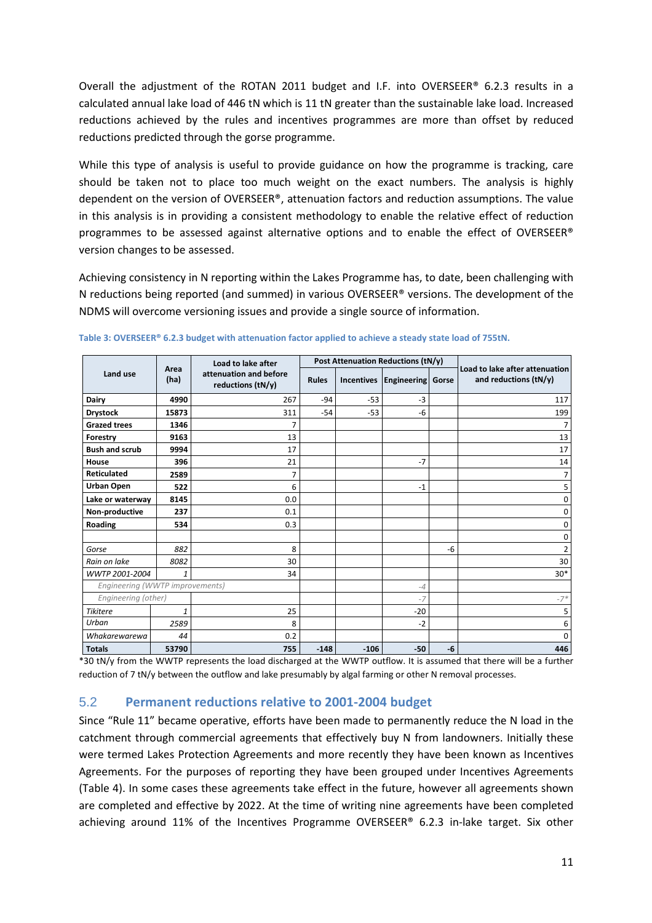Overall the adjustment of the ROTAN 2011 budget and I.F. into OVERSEER® 6.2.3 results in a calculated annual lake load of 446 tN which is 11 tN greater than the sustainable lake load. Increased reductions achieved by the rules and incentives programmes are more than offset by reduced reductions predicted through the gorse programme.

While this type of analysis is useful to provide guidance on how the programme is tracking, care should be taken not to place too much weight on the exact numbers. The analysis is highly dependent on the version of OVERSEER®, attenuation factors and reduction assumptions. The value in this analysis is in providing a consistent methodology to enable the relative effect of reduction programmes to be assessed against alternative options and to enable the effect of OVERSEER® version changes to be assessed.

Achieving consistency in N reporting within the Lakes Programme has, to date, been challenging with N reductions being reported (and summed) in various OVERSEER® versions. The development of the NDMS will overcome versioning issues and provide a single source of information.

|                       |                                 | Load to lake after                          |              |                                  | Post Attenuation Reductions (tN/y) | Load to lake after attenuation<br>and reductions (tN/y) |                |
|-----------------------|---------------------------------|---------------------------------------------|--------------|----------------------------------|------------------------------------|---------------------------------------------------------|----------------|
| Land use              | Area<br>(ha)                    | attenuation and before<br>reductions (tN/y) | <b>Rules</b> | <b>Incentives</b><br>Engineering |                                    |                                                         |                |
| Dairy                 | 4990                            | 267                                         | $-94$        | $-53$                            | $-3$                               |                                                         | 117            |
| <b>Drystock</b>       | 15873                           | 311                                         | $-54$        | $-53$                            | -6                                 |                                                         | 199            |
| <b>Grazed trees</b>   | 1346                            | 7                                           |              |                                  |                                    |                                                         | 7              |
| Forestry              | 9163                            | 13                                          |              |                                  |                                    |                                                         | 13             |
| <b>Bush and scrub</b> | 9994                            | 17                                          |              |                                  |                                    |                                                         | 17             |
| House                 | 396                             | 21                                          |              |                                  | $-7$                               |                                                         | 14             |
| Reticulated           | 2589                            | 7                                           |              |                                  |                                    |                                                         | 7              |
| Urban Open            | 522                             | 6                                           |              |                                  | $-1$                               |                                                         | 5              |
| Lake or waterway      | 8145                            | 0.0                                         |              |                                  |                                    |                                                         | 0              |
| Non-productive        | 237                             | 0.1                                         |              |                                  |                                    |                                                         | 0              |
| Roading               | 534                             | 0.3                                         |              |                                  |                                    |                                                         | $\mathbf 0$    |
|                       |                                 |                                             |              |                                  |                                    |                                                         | 0              |
| Gorse                 | 882                             | 8                                           |              |                                  |                                    | -6                                                      | $\overline{2}$ |
| Rain on lake          | 8082                            | 30                                          |              |                                  |                                    |                                                         | 30             |
| WWTP 2001-2004        | 1                               | 34                                          |              |                                  |                                    |                                                         | $30*$          |
|                       | Engineering (WWTP improvements) |                                             |              |                                  | $-4$                               |                                                         |                |
| Engineering (other)   |                                 |                                             |              |                                  | $-7$                               |                                                         | $-7*$          |
| <b>Tikitere</b>       | 1                               | 25                                          |              |                                  | $-20$                              |                                                         | 5              |
| Urban                 | 2589                            | 8                                           |              |                                  | $-2$                               |                                                         | 6              |
| Whakarewarewa         | 44                              | 0.2                                         |              |                                  |                                    |                                                         | $\mathbf 0$    |
| <b>Totals</b>         | 53790                           | 755                                         | $-148$       | $-106$                           | $-50$                              | -6                                                      | 446            |

**Table 3: OVERSEER® 6.2.3 budget with attenuation factor applied to achieve a steady state load of 755tN.** 

\*30 tN/y from the WWTP represents the load discharged at the WWTP outflow. It is assumed that there will be a further reduction of 7 tN/y between the outflow and lake presumably by algal farming or other N removal processes.

#### 5.2 **Permanent reductions relative to 2001-2004 budget**

Since "Rule 11" became operative, efforts have been made to permanently reduce the N load in the catchment through commercial agreements that effectively buy N from landowners. Initially these were termed Lakes Protection Agreements and more recently they have been known as Incentives Agreements. For the purposes of reporting they have been grouped under Incentives Agreements (Table 4). In some cases these agreements take effect in the future, however all agreements shown are completed and effective by 2022. At the time of writing nine agreements have been completed achieving around 11% of the Incentives Programme OVERSEER® 6.2.3 in-lake target. Six other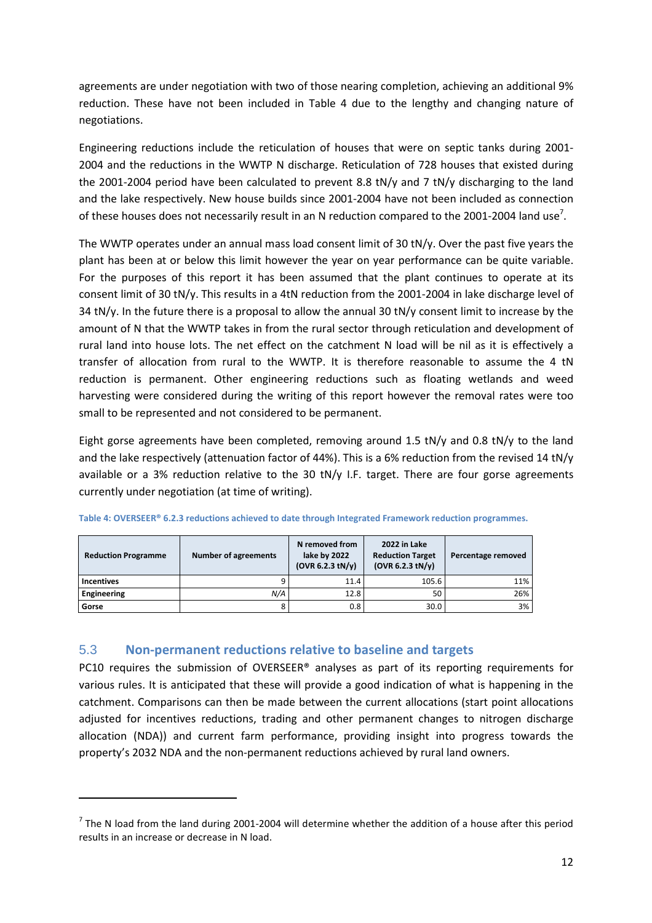agreements are under negotiation with two of those nearing completion, achieving an additional 9% reduction. These have not been included in Table 4 due to the lengthy and changing nature of negotiations.

Engineering reductions include the reticulation of houses that were on septic tanks during 2001- 2004 and the reductions in the WWTP N discharge. Reticulation of 728 houses that existed during the 2001-2004 period have been calculated to prevent 8.8 tN/y and 7 tN/y discharging to the land and the lake respectively. New house builds since 2001-2004 have not been included as connection of these houses does not necessarily result in an N reduction compared to the 2001-2004 land use<sup>7</sup>.

The WWTP operates under an annual mass load consent limit of 30 tN/y. Over the past five years the plant has been at or below this limit however the year on year performance can be quite variable. For the purposes of this report it has been assumed that the plant continues to operate at its consent limit of 30 tN/y. This results in a 4tN reduction from the 2001-2004 in lake discharge level of 34 tN/y. In the future there is a proposal to allow the annual 30 tN/y consent limit to increase by the amount of N that the WWTP takes in from the rural sector through reticulation and development of rural land into house lots. The net effect on the catchment N load will be nil as it is effectively a transfer of allocation from rural to the WWTP. It is therefore reasonable to assume the 4 tN reduction is permanent. Other engineering reductions such as floating wetlands and weed harvesting were considered during the writing of this report however the removal rates were too small to be represented and not considered to be permanent.

Eight gorse agreements have been completed, removing around 1.5 tN/y and 0.8 tN/y to the land and the lake respectively (attenuation factor of 44%). This is a 6% reduction from the revised 14 tN/y available or a 3% reduction relative to the 30 tN/y I.F. target. There are four gorse agreements currently under negotiation (at time of writing).

| <b>Reduction Programme</b> | Number of agreements | N removed from<br>lake by 2022<br>(OVR 6.2.3 tN/v) | 2022 in Lake<br><b>Reduction Target</b><br>(OVR 6.2.3 tN/v) | Percentage removed |
|----------------------------|----------------------|----------------------------------------------------|-------------------------------------------------------------|--------------------|
| <b>Incentives</b>          |                      | 11.4                                               | 105.6                                                       | 11%                |
| <b>Engineering</b>         | N/A                  | 12.8                                               | 50                                                          | 26%                |
| Gorse                      |                      | 0.8                                                | 30.0                                                        | 3%                 |

**Table 4: OVERSEER® 6.2.3 reductions achieved to date through Integrated Framework reduction programmes.** 

#### 5.3 **Non-permanent reductions relative to baseline and targets**

l

PC10 requires the submission of OVERSEER® analyses as part of its reporting requirements for various rules. It is anticipated that these will provide a good indication of what is happening in the catchment. Comparisons can then be made between the current allocations (start point allocations adjusted for incentives reductions, trading and other permanent changes to nitrogen discharge allocation (NDA)) and current farm performance, providing insight into progress towards the property's 2032 NDA and the non-permanent reductions achieved by rural land owners.

 $^7$  The N load from the land during 2001-2004 will determine whether the addition of a house after this period results in an increase or decrease in N load.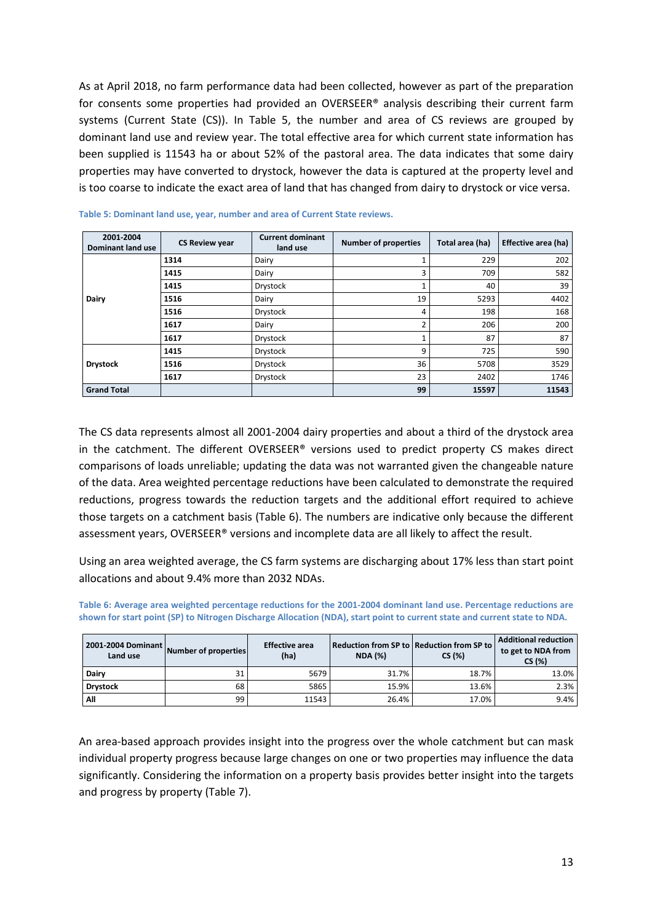As at April 2018, no farm performance data had been collected, however as part of the preparation for consents some properties had provided an OVERSEER® analysis describing their current farm systems (Current State (CS)). In Table 5, the number and area of CS reviews are grouped by dominant land use and review year. The total effective area for which current state information has been supplied is 11543 ha or about 52% of the pastoral area. The data indicates that some dairy properties may have converted to drystock, however the data is captured at the property level and is too coarse to indicate the exact area of land that has changed from dairy to drystock or vice versa.

| 2001-2004<br><b>Dominant land use</b> | <b>CS Review year</b> | <b>Current dominant</b><br>land use | <b>Number of properties</b> | Total area (ha) | Effective area (ha) |
|---------------------------------------|-----------------------|-------------------------------------|-----------------------------|-----------------|---------------------|
|                                       | 1314                  | Dairy                               |                             | 229             | 202                 |
|                                       | 1415                  | Dairy                               | 3                           | 709             | 582                 |
|                                       | 1415                  | Drystock                            |                             | 40              | 39                  |
| Dairy                                 | 1516                  | Dairy                               | 19                          | 5293            | 4402                |
|                                       | 1516                  | Drystock                            | 4                           | 198             | 168                 |
|                                       | 1617                  | Dairy                               | $\mathfrak z$               | 206             | 200                 |
|                                       | 1617                  | <b>Drystock</b>                     |                             | 87              | 87                  |
|                                       | 1415                  | <b>Drystock</b>                     | 9                           | 725             | 590                 |
| <b>Drystock</b>                       | 1516                  | Drystock                            | 36                          | 5708            | 3529                |
|                                       | 1617                  | Drystock                            | 23                          | 2402            | 1746                |
| <b>Grand Total</b>                    |                       |                                     | 99                          | 15597           | 11543               |

| Table 5: Dominant land use, year, number and area of Current State reviews. |  |  |  |  |
|-----------------------------------------------------------------------------|--|--|--|--|
|                                                                             |  |  |  |  |

The CS data represents almost all 2001-2004 dairy properties and about a third of the drystock area in the catchment. The different OVERSEER® versions used to predict property CS makes direct comparisons of loads unreliable; updating the data was not warranted given the changeable nature of the data. Area weighted percentage reductions have been calculated to demonstrate the required reductions, progress towards the reduction targets and the additional effort required to achieve those targets on a catchment basis (Table 6). The numbers are indicative only because the different assessment years, OVERSEER® versions and incomplete data are all likely to affect the result.

Using an area weighted average, the CS farm systems are discharging about 17% less than start point allocations and about 9.4% more than 2032 NDAs.

| 2001-2004 Dominant<br>Land use | Number of properties | <b>Effective area</b><br>(ha) | <b>NDA (%)</b> | Reduction from SP to   Reduction from SP to  <br>CS(%) | <b>Additional reduction</b><br>to get to NDA from<br>CS(%) |  |
|--------------------------------|----------------------|-------------------------------|----------------|--------------------------------------------------------|------------------------------------------------------------|--|
| Dairy                          | 31                   | 5679                          | 31.7%          | 18.7%                                                  | 13.0%                                                      |  |
| <b>Drystock</b>                | 68                   | 5865                          | 15.9%          | 13.6%                                                  | 2.3%                                                       |  |
| All                            | 99                   | 11543                         | 26.4%          | 17.0%                                                  | 9.4%                                                       |  |

**Table 6: Average area weighted percentage reductions for the 2001-2004 dominant land use. Percentage reductions are shown for start point (SP) to Nitrogen Discharge Allocation (NDA), start point to current state and current state to NDA.** 

An area-based approach provides insight into the progress over the whole catchment but can mask individual property progress because large changes on one or two properties may influence the data significantly. Considering the information on a property basis provides better insight into the targets and progress by property (Table 7).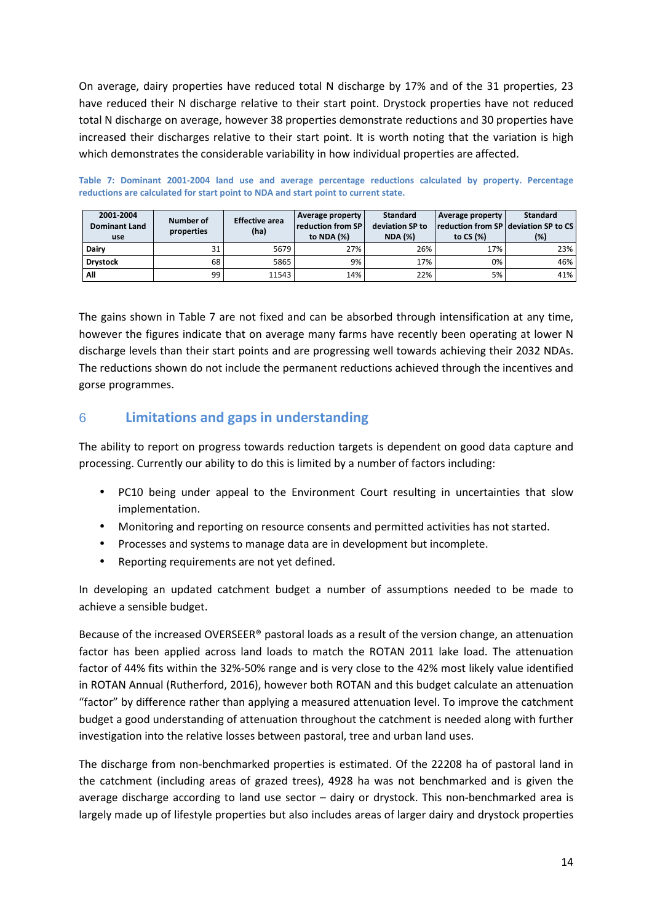On average, dairy properties have reduced total N discharge by 17% and of the 31 properties, 23 have reduced their N discharge relative to their start point. Drystock properties have not reduced total N discharge on average, however 38 properties demonstrate reductions and 30 properties have increased their discharges relative to their start point. It is worth noting that the variation is high which demonstrates the considerable variability in how individual properties are affected.

| 2001-2004<br><b>Dominant Land</b><br>use | Number of<br>properties | <b>Effective area</b><br>(ha) | Average property<br><b>reduction from SP</b><br>to NDA (%) | <b>Standard</b><br>deviation SP to<br><b>NDA (%)</b> | Average property<br>reduction from SP   deviation SP to CS<br>to CS (%) | <b>Standard</b><br>(%) |
|------------------------------------------|-------------------------|-------------------------------|------------------------------------------------------------|------------------------------------------------------|-------------------------------------------------------------------------|------------------------|
| Dairy                                    | 31                      | 5679                          | 27%                                                        | 26%                                                  | 17%                                                                     | 23%                    |
| <b>Drystock</b>                          | 68                      | 5865                          | 9%                                                         | 17%                                                  | 0%                                                                      | 46%                    |
| All                                      | 99                      | 11543                         | 14%                                                        | 22%                                                  | 5%                                                                      | 41%                    |

**Table 7: Dominant 2001-2004 land use and average percentage reductions calculated by property. Percentage reductions are calculated for start point to NDA and start point to current state.** 

The gains shown in Table 7 are not fixed and can be absorbed through intensification at any time, however the figures indicate that on average many farms have recently been operating at lower N discharge levels than their start points and are progressing well towards achieving their 2032 NDAs. The reductions shown do not include the permanent reductions achieved through the incentives and gorse programmes.

# 6 **Limitations and gaps in understanding**

The ability to report on progress towards reduction targets is dependent on good data capture and processing. Currently our ability to do this is limited by a number of factors including:

- PC10 being under appeal to the Environment Court resulting in uncertainties that slow implementation.
- Monitoring and reporting on resource consents and permitted activities has not started.
- Processes and systems to manage data are in development but incomplete.
- Reporting requirements are not yet defined.

In developing an updated catchment budget a number of assumptions needed to be made to achieve a sensible budget.

Because of the increased OVERSEER® pastoral loads as a result of the version change, an attenuation factor has been applied across land loads to match the ROTAN 2011 lake load. The attenuation factor of 44% fits within the 32%-50% range and is very close to the 42% most likely value identified in ROTAN Annual (Rutherford, 2016), however both ROTAN and this budget calculate an attenuation "factor" by difference rather than applying a measured attenuation level. To improve the catchment budget a good understanding of attenuation throughout the catchment is needed along with further investigation into the relative losses between pastoral, tree and urban land uses.

The discharge from non-benchmarked properties is estimated. Of the 22208 ha of pastoral land in the catchment (including areas of grazed trees), 4928 ha was not benchmarked and is given the average discharge according to land use sector – dairy or drystock. This non-benchmarked area is largely made up of lifestyle properties but also includes areas of larger dairy and drystock properties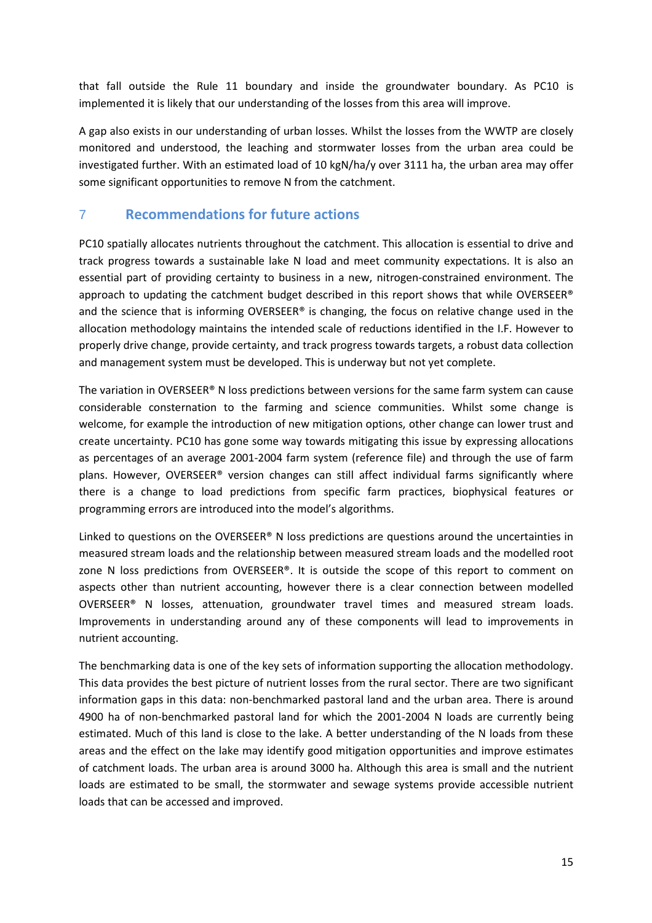that fall outside the Rule 11 boundary and inside the groundwater boundary. As PC10 is implemented it is likely that our understanding of the losses from this area will improve.

A gap also exists in our understanding of urban losses. Whilst the losses from the WWTP are closely monitored and understood, the leaching and stormwater losses from the urban area could be investigated further. With an estimated load of 10 kgN/ha/y over 3111 ha, the urban area may offer some significant opportunities to remove N from the catchment.

# 7 **Recommendations for future actions**

PC10 spatially allocates nutrients throughout the catchment. This allocation is essential to drive and track progress towards a sustainable lake N load and meet community expectations. It is also an essential part of providing certainty to business in a new, nitrogen-constrained environment. The approach to updating the catchment budget described in this report shows that while OVERSEER<sup>®</sup> and the science that is informing OVERSEER® is changing, the focus on relative change used in the allocation methodology maintains the intended scale of reductions identified in the I.F. However to properly drive change, provide certainty, and track progress towards targets, a robust data collection and management system must be developed. This is underway but not yet complete.

The variation in OVERSEER® N loss predictions between versions for the same farm system can cause considerable consternation to the farming and science communities. Whilst some change is welcome, for example the introduction of new mitigation options, other change can lower trust and create uncertainty. PC10 has gone some way towards mitigating this issue by expressing allocations as percentages of an average 2001-2004 farm system (reference file) and through the use of farm plans. However, OVERSEER® version changes can still affect individual farms significantly where there is a change to load predictions from specific farm practices, biophysical features or programming errors are introduced into the model's algorithms.

Linked to questions on the OVERSEER® N loss predictions are questions around the uncertainties in measured stream loads and the relationship between measured stream loads and the modelled root zone N loss predictions from OVERSEER®. It is outside the scope of this report to comment on aspects other than nutrient accounting, however there is a clear connection between modelled OVERSEER® N losses, attenuation, groundwater travel times and measured stream loads. Improvements in understanding around any of these components will lead to improvements in nutrient accounting.

The benchmarking data is one of the key sets of information supporting the allocation methodology. This data provides the best picture of nutrient losses from the rural sector. There are two significant information gaps in this data: non-benchmarked pastoral land and the urban area. There is around 4900 ha of non-benchmarked pastoral land for which the 2001-2004 N loads are currently being estimated. Much of this land is close to the lake. A better understanding of the N loads from these areas and the effect on the lake may identify good mitigation opportunities and improve estimates of catchment loads. The urban area is around 3000 ha. Although this area is small and the nutrient loads are estimated to be small, the stormwater and sewage systems provide accessible nutrient loads that can be accessed and improved.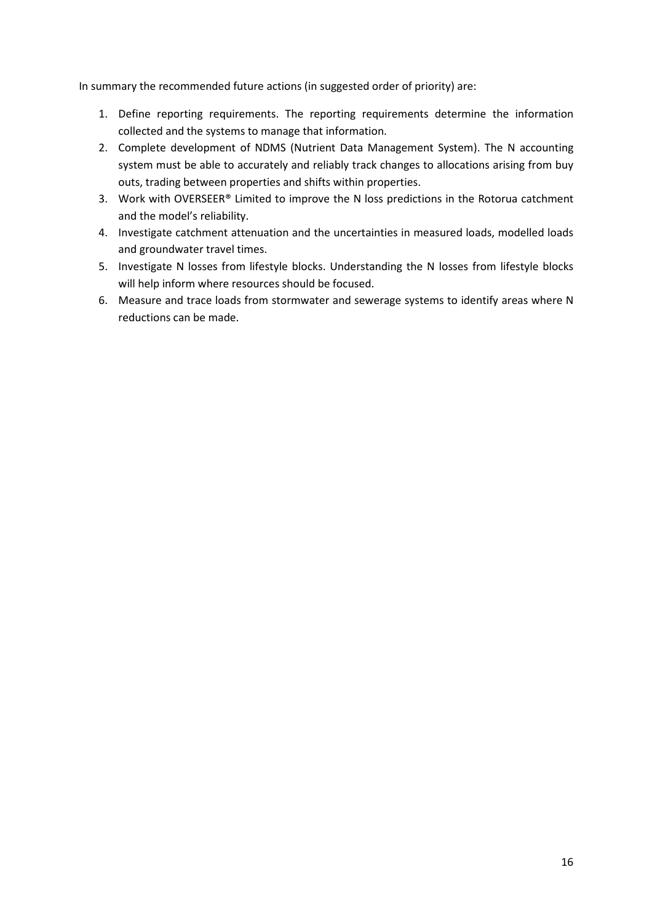In summary the recommended future actions (in suggested order of priority) are:

- 1. Define reporting requirements. The reporting requirements determine the information collected and the systems to manage that information.
- 2. Complete development of NDMS (Nutrient Data Management System). The N accounting system must be able to accurately and reliably track changes to allocations arising from buy outs, trading between properties and shifts within properties.
- 3. Work with OVERSEER® Limited to improve the N loss predictions in the Rotorua catchment and the model's reliability.
- 4. Investigate catchment attenuation and the uncertainties in measured loads, modelled loads and groundwater travel times.
- 5. Investigate N losses from lifestyle blocks. Understanding the N losses from lifestyle blocks will help inform where resources should be focused.
- 6. Measure and trace loads from stormwater and sewerage systems to identify areas where N reductions can be made.